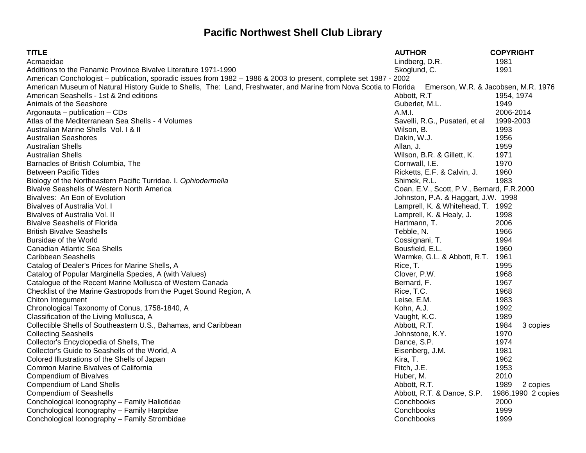## **Pacific Northwest Shell Club Library**

| <b>TITLE</b>                                                                                                      | <b>AUTHOR</b>                              | <b>COPYRIGHT</b>                    |
|-------------------------------------------------------------------------------------------------------------------|--------------------------------------------|-------------------------------------|
| Acmaeidae                                                                                                         | Lindberg, D.R.                             | 1981                                |
| Additions to the Panamic Province Bivalve Literature 1971-1990                                                    | Skoglund, C.                               | 1991                                |
| American Conchologist – publication, sporadic issues from 1982 – 1986 & 2003 to present, complete set 1987 - 2002 |                                            |                                     |
| American Museum of Natural History Guide to Shells, The: Land, Freshwater, and Marine from Nova Scotia to Florida |                                            | Emerson, W.R. & Jacobsen, M.R. 1976 |
| American Seashells - 1st & 2nd editions                                                                           | Abbott, R.T                                | 1954, 1974                          |
| Animals of the Seashore                                                                                           | Guberlet, M.L.                             | 1949                                |
| Argonauta - publication - CDs                                                                                     | A.M.I.                                     | 2006-2014                           |
| Atlas of the Mediterranean Sea Shells - 4 Volumes                                                                 | Savelli, R.G., Pusateri, et al             | 1999-2003                           |
| Australian Marine Shells Vol. I & II                                                                              | Wilson, B.                                 | 1993                                |
| Australian Seashores                                                                                              | Dakin, W.J.                                | 1956                                |
| <b>Australian Shells</b>                                                                                          | Allan, J.                                  | 1959                                |
| <b>Australian Shells</b>                                                                                          | Wilson, B.R. & Gillett, K.                 | 1971                                |
| Barnacles of British Columbia, The                                                                                | Cornwall, I.E.                             | 1970                                |
| <b>Between Pacific Tides</b>                                                                                      | Ricketts, E.F. & Calvin, J.                | 1960                                |
| Biology of the Northeastern Pacific Turridae. I. Ophiodermella                                                    | Shimek, R.L.                               | 1983                                |
| Bivalve Seashells of Western North America                                                                        | Coan, E.V., Scott, P.V., Bernard, F.R.2000 |                                     |
| Bivalves: An Eon of Evolution                                                                                     | Johnston, P.A. & Haggart, J.W. 1998        |                                     |
| Bivalves of Australia Vol. I                                                                                      | Lamprell, K. & Whitehead, T. 1992          |                                     |
| Bivalves of Australia Vol. II                                                                                     | Lamprell, K. & Healy, J.                   | 1998                                |
| <b>Bivalve Seashells of Florida</b>                                                                               | Hartmann, T.                               | 2006                                |
| <b>British Bivalve Seashells</b>                                                                                  | Tebble, N.                                 | 1966                                |
| Bursidae of the World                                                                                             | Cossignani, T.                             | 1994                                |
| Canadian Atlantic Sea Shells                                                                                      | Bousfield, E.L.                            | 1960                                |
| Caribbean Seashells                                                                                               | Warmke, G.L. & Abbott, R.T.                | 1961                                |
| Catalog of Dealer's Prices for Marine Shells, A                                                                   | Rice, T.                                   | 1995                                |
| Catalog of Popular Marginella Species, A (with Values)                                                            | Clover, P.W.                               | 1968                                |
| Catalogue of the Recent Marine Mollusca of Western Canada                                                         | Bernard, F.                                | 1967                                |
| Checklist of the Marine Gastropods from the Puget Sound Region, A                                                 | Rice, T.C.                                 | 1968                                |
| Chiton Integument                                                                                                 | Leise, E.M.                                | 1983                                |
| Chronological Taxonomy of Conus, 1758-1840, A                                                                     | Kohn, A.J.                                 | 1992                                |
| Classification of the Living Mollusca, A                                                                          | Vaught, K.C.                               | 1989                                |
| Collectible Shells of Southeastern U.S., Bahamas, and Caribbean                                                   | Abbott, R.T.                               | 1984<br>3 copies                    |
| <b>Collecting Seashells</b>                                                                                       | Johnstone, K.Y.                            | 1970                                |
| Collector's Encyclopedia of Shells, The                                                                           | Dance, S.P.                                | 1974                                |
| Collector's Guide to Seashells of the World, A                                                                    | Eisenberg, J.M.                            | 1981                                |
| Colored Illustrations of the Shells of Japan                                                                      | Kira, T.                                   | 1962                                |
| Common Marine Bivalves of California                                                                              | Fitch, J.E.                                | 1953                                |
| <b>Compendium of Bivalves</b>                                                                                     | Huber, M.                                  | 2010                                |
| <b>Compendium of Land Shells</b>                                                                                  | Abbott, R.T.                               | 1989<br>2 copies                    |
| <b>Compendium of Seashells</b>                                                                                    | Abbott, R.T. & Dance, S.P.                 | 1986,1990 2 copies                  |
| Conchological Iconography - Family Haliotidae                                                                     | Conchbooks                                 | 2000                                |
| Conchological Iconography - Family Harpidae                                                                       | Conchbooks                                 | 1999                                |
| Conchological Iconography - Family Strombidae                                                                     | <b>Conchbooks</b>                          | 1999                                |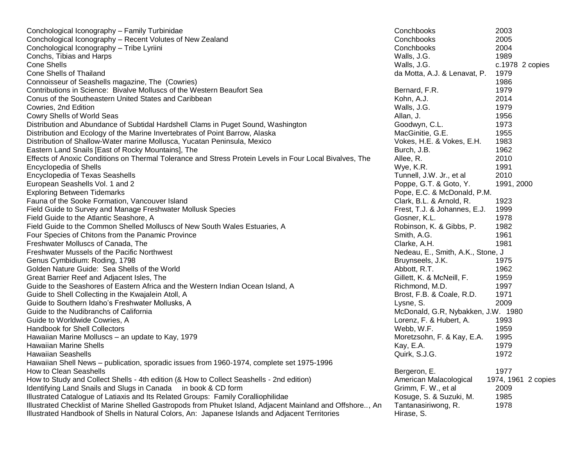| Conchological Iconography - Family Turbinidae                                                             | Conchbooks                         | 2003                |
|-----------------------------------------------------------------------------------------------------------|------------------------------------|---------------------|
| Conchological Iconography - Recent Volutes of New Zealand                                                 | Conchbooks                         | 2005                |
| Conchological Iconography - Tribe Lyriini                                                                 | Conchbooks                         | 2004                |
| Conchs, Tibias and Harps                                                                                  | Walls, J.G.                        | 1989                |
| <b>Cone Shells</b>                                                                                        | Walls, J.G.                        | c.1978 2 copies     |
| <b>Cone Shells of Thailand</b>                                                                            | da Motta, A.J. & Lenavat, P.       | 1979                |
| Connoisseur of Seashells magazine, The (Cowries)                                                          |                                    | 1986                |
| Contributions in Science: Bivalve Molluscs of the Western Beaufort Sea                                    | Bernard, F.R.                      | 1979                |
| Conus of the Southeastern United States and Caribbean                                                     | Kohn, A.J.                         | 2014                |
| Cowries, 2nd Edition                                                                                      | Walls, J.G.                        | 1979                |
| Cowry Shells of World Seas                                                                                | Allan, J.                          | 1956                |
| Distribution and Abundance of Subtidal Hardshell Clams in Puget Sound, Washington                         | Goodwyn, C.L.                      | 1973                |
| Distribution and Ecology of the Marine Invertebrates of Point Barrow, Alaska                              | MacGinitie, G.E.                   | 1955                |
| Distribution of Shallow-Water marine Mollusca, Yucatan Peninsula, Mexico                                  | Vokes, H.E. & Vokes, E.H.          | 1983                |
| Eastern Land Snails [East of Rocky Mountains], The                                                        | Burch, J.B.                        | 1962                |
| Effects of Anoxic Conditions on Thermal Tolerance and Stress Protein Levels in Four Local Bivalves, The   | Allee, R.                          | 2010                |
| <b>Encyclopedia of Shells</b>                                                                             | Wye, K.R.                          | 1991                |
| Encyclopedia of Texas Seashells                                                                           | Tunnell, J.W. Jr., et al           | 2010                |
| European Seashells Vol. 1 and 2                                                                           | Poppe, G.T. & Goto, Y.             | 1991, 2000          |
| <b>Exploring Between Tidemarks</b>                                                                        | Pope, E.C. & McDonald, P.M.        |                     |
| Fauna of the Sooke Formation, Vancouver Island                                                            | Clark, B.L. & Arnold, R.           | 1923                |
| Field Guide to Survey and Manage Freshwater Mollusk Species                                               | Frest, T.J. & Johannes, E.J.       | 1999                |
| Field Guide to the Atlantic Seashore, A                                                                   | Gosner, K.L.                       | 1978                |
| Field Guide to the Common Shelled Molluscs of New South Wales Estuaries, A                                | Robinson, K. & Gibbs, P.           | 1982                |
| Four Species of Chitons from the Panamic Province                                                         | Smith, A.G.                        | 1961                |
| Freshwater Molluscs of Canada, The                                                                        | Clarke, A.H.                       | 1981                |
| Freshwater Mussels of the Pacific Northwest                                                               | Nedeau, E., Smith, A.K., Stone, J  |                     |
| Genus Cymbidium: Roding, 1798                                                                             | Bruynseels, J.K.                   | 1975                |
| Golden Nature Guide: Sea Shells of the World                                                              | Abbott, R.T.                       | 1962                |
| Great Barrier Reef and Adjacent Isles, The                                                                | Gillett, K. & McNeill, F.          | 1959                |
| Guide to the Seashores of Eastern Africa and the Western Indian Ocean Island, A                           | Richmond, M.D.                     | 1997                |
| Guide to Shell Collecting in the Kwajalein Atoll, A                                                       | Brost, F.B. & Coale, R.D.          | 1971                |
| Guide to Southern Idaho's Freshwater Mollusks, A                                                          | Lysne, S.                          | 2009                |
| Guide to the Nudibranchs of California                                                                    | McDonald, G.R, Nybakken, J.W. 1980 |                     |
| Guide to Worldwide Cowries, A                                                                             | Lorenz, F. & Hubert, A.            | 1993                |
| Handbook for Shell Collectors                                                                             | Webb, W.F.                         | 1959                |
| Hawaiian Marine Molluscs - an update to Kay, 1979                                                         | Moretzsohn, F. & Kay, E.A.         | 1995                |
| <b>Hawaiian Marine Shells</b>                                                                             | Kay, E.A.                          | 1979                |
| <b>Hawaiian Seashells</b>                                                                                 | Quirk, S.J.G.                      | 1972                |
| Hawaiian Shell News - publication, sporadic issues from 1960-1974, complete set 1975-1996                 |                                    |                     |
| <b>How to Clean Seashells</b>                                                                             | Bergeron, E.                       | 1977                |
| How to Study and Collect Shells - 4th edition (& How to Collect Seashells - 2nd edition)                  | American Malacological             | 1974, 1961 2 copies |
| Identifying Land Snails and Slugs in Canada in book & CD form                                             | Grimm, F. W., et al                | 2009                |
| Illustrated Catalogue of Latiaxis and Its Related Groups: Family Coralliophilidae                         | Kosuge, S. & Suzuki, M.            | 1985                |
| Illustrated Checklist of Marine Shelled Gastropods from Phuket Island, Adjacent Mainland and Offshore, An | Tantanasiriwong, R.                | 1978                |
| Illustrated Handbook of Shells in Natural Colors, An: Japanese Islands and Adjacent Territories           | Hirase, S.                         |                     |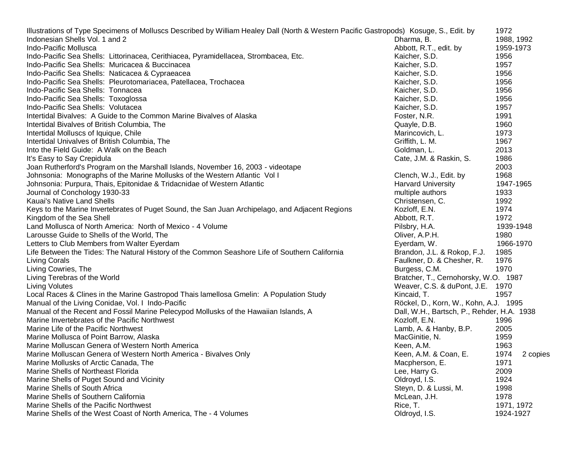| Indo-Pacific Mollusca<br>Abbott, R.T., edit. by<br>1959-1973<br>1956<br>Indo-Pacific Sea Shells: Littorinacea, Cerithiacea, Pyramidellacea, Strombacea, Etc.<br>Kaicher, S.D.<br>Indo-Pacific Sea Shells: Muricacea & Buccinacea<br>1957<br>Kaicher, S.D.<br>Indo-Pacific Sea Shells: Naticacea & Cypraeacea<br>Kaicher, S.D.<br>1956<br>Indo-Pacific Sea Shells: Pleurotomariacea, Patellacea, Trochacea<br>Kaicher, S.D.<br>1956<br>Kaicher, S.D.<br>1956<br>Kaicher, S.D.<br>1956<br>Kaicher, S.D.<br>1957<br>1991<br>Foster, N.R.<br>Intertidal Bivalves of British Columbia, The<br>1960<br>Quayle, D.B.<br>1973<br>Intertidal Molluscs of Iquique, Chile<br>Marincovich, L.<br>Intertidal Univalves of British Columbia, The<br>1967<br>Griffith, L. M.<br>Into the Field Guide: A Walk on the Beach<br>2013<br>Goldman, L.<br>1986<br>It's Easy to Say Crepidula<br>Cate, J.M. & Raskin, S.<br>Joan Rutherford's Program on the Marshall Islands, November 16, 2003 - videotape<br>2003<br>Johnsonia: Monographs of the Marine Mollusks of the Western Atlantic Vol I<br>Clench, W.J., Edit. by<br>1968<br>Johnsonia: Purpura, Thais, Epitonidae & Tridacnidae of Western Atlantic<br><b>Harvard University</b><br>1947-1965<br>Journal of Conchology 1930-33<br>1933<br>multiple authors<br>Kauai's Native Land Shells<br>1992<br>Christensen, C.<br>Keys to the Marine Invertebrates of Puget Sound, the San Juan Archipelago, and Adjacent Regions<br>1974<br>Kozloff, E.N.<br>1972<br>Kingdom of the Sea Shell<br>Abbott, R.T.<br>Land Mollusca of North America: North of Mexico - 4 Volume<br>Pilsbry, H.A.<br>1939-1948<br>Oliver, A.P.H.<br>Larousse Guide to Shells of the World, The<br>1980<br>1966-1970<br>Letters to Club Members from Walter Eyerdam<br>Eyerdam, W.<br>Life Between the Tides: The Natural History of the Common Seashore Life of Southern California<br>Brandon, J.L. & Rokop, F.J.<br>1985<br>1976<br><b>Living Corals</b><br>Faulkner, D. & Chesher, R.<br>1970<br>Living Cowries, The<br>Burgess, C.M.<br>Bratcher, T., Cernohorsky, W.O. 1987<br>Living Terebras of the World<br>Living Volutes<br>Weaver, C.S. & duPont, J.E. 1970<br>Local Races & Clines in the Marine Gastropod Thais lamellosa Gmelin: A Population Study<br>1957<br>Kincaid, T.<br>Manual of the Living Conidae, Vol. I Indo-Pacific<br>Röckel, D., Korn, W., Kohn, A.J. 1995<br>Manual of the Recent and Fossil Marine Pelecypod Mollusks of the Hawaiian Islands, A<br>Dall, W.H., Bartsch, P., Rehder, H.A. 1938<br>Marine Invertebrates of the Pacific Northwest<br>Kozloff, E.N.<br>1996<br>Marine Life of the Pacific Northwest<br>2005<br>Lamb, A. & Hanby, B.P.<br>1959<br>Marine Mollusca of Point Barrow, Alaska<br>MacGinitie, N.<br>Marine Molluscan Genera of Western North America<br>1963<br>Keen, A.M.<br>1974<br>Marine Molluscan Genera of Western North America - Bivalves Only<br>Keen, A.M. & Coan, E.<br>2 copies<br>Marine Mollusks of Arctic Canada, The<br>Macpherson, E.<br>1971<br>2009<br>Marine Shells of Northeast Florida<br>Lee, Harry G.<br>Marine Shells of Puget Sound and Vicinity<br>Oldroyd, I.S.<br>1924<br>Marine Shells of South Africa<br>Steyn, D. & Lussi, M.<br>1998<br>Marine Shells of Southern California<br>1978<br>McLean, J.H.<br>Marine Shells of the Pacific Northwest<br>Rice, T.<br>1971, 1972<br>Marine Shells of the West Coast of North America, The - 4 Volumes<br>Oldroyd, I.S.<br>1924-1927 | Illustrations of Type Specimens of Molluscs Described by William Healey Dall (North & Western Pacific Gastropods) Kosuge, S., Edit. by |            | 1972       |  |  |
|--------------------------------------------------------------------------------------------------------------------------------------------------------------------------------------------------------------------------------------------------------------------------------------------------------------------------------------------------------------------------------------------------------------------------------------------------------------------------------------------------------------------------------------------------------------------------------------------------------------------------------------------------------------------------------------------------------------------------------------------------------------------------------------------------------------------------------------------------------------------------------------------------------------------------------------------------------------------------------------------------------------------------------------------------------------------------------------------------------------------------------------------------------------------------------------------------------------------------------------------------------------------------------------------------------------------------------------------------------------------------------------------------------------------------------------------------------------------------------------------------------------------------------------------------------------------------------------------------------------------------------------------------------------------------------------------------------------------------------------------------------------------------------------------------------------------------------------------------------------------------------------------------------------------------------------------------------------------------------------------------------------------------------------------------------------------------------------------------------------------------------------------------------------------------------------------------------------------------------------------------------------------------------------------------------------------------------------------------------------------------------------------------------------------------------------------------------------------------------------------------------------------------------------------------------------------------------------------------------------------------------------------------------------------------------------------------------------------------------------------------------------------------------------------------------------------------------------------------------------------------------------------------------------------------------------------------------------------------------------------------------------------------------------------------------------------------------------------------------------------------------------------------------------------------------------------------------------------------------------------------------------------------------------------------------------------------------------------------------------------------------------------------------------------------------------------------------------------------|----------------------------------------------------------------------------------------------------------------------------------------|------------|------------|--|--|
|                                                                                                                                                                                                                                                                                                                                                                                                                                                                                                                                                                                                                                                                                                                                                                                                                                                                                                                                                                                                                                                                                                                                                                                                                                                                                                                                                                                                                                                                                                                                                                                                                                                                                                                                                                                                                                                                                                                                                                                                                                                                                                                                                                                                                                                                                                                                                                                                                                                                                                                                                                                                                                                                                                                                                                                                                                                                                                                                                                                                                                                                                                                                                                                                                                                                                                                                                                                                                                                                          | Indonesian Shells Vol. 1 and 2                                                                                                         | Dharma, B. | 1988, 1992 |  |  |
|                                                                                                                                                                                                                                                                                                                                                                                                                                                                                                                                                                                                                                                                                                                                                                                                                                                                                                                                                                                                                                                                                                                                                                                                                                                                                                                                                                                                                                                                                                                                                                                                                                                                                                                                                                                                                                                                                                                                                                                                                                                                                                                                                                                                                                                                                                                                                                                                                                                                                                                                                                                                                                                                                                                                                                                                                                                                                                                                                                                                                                                                                                                                                                                                                                                                                                                                                                                                                                                                          |                                                                                                                                        |            |            |  |  |
|                                                                                                                                                                                                                                                                                                                                                                                                                                                                                                                                                                                                                                                                                                                                                                                                                                                                                                                                                                                                                                                                                                                                                                                                                                                                                                                                                                                                                                                                                                                                                                                                                                                                                                                                                                                                                                                                                                                                                                                                                                                                                                                                                                                                                                                                                                                                                                                                                                                                                                                                                                                                                                                                                                                                                                                                                                                                                                                                                                                                                                                                                                                                                                                                                                                                                                                                                                                                                                                                          |                                                                                                                                        |            |            |  |  |
|                                                                                                                                                                                                                                                                                                                                                                                                                                                                                                                                                                                                                                                                                                                                                                                                                                                                                                                                                                                                                                                                                                                                                                                                                                                                                                                                                                                                                                                                                                                                                                                                                                                                                                                                                                                                                                                                                                                                                                                                                                                                                                                                                                                                                                                                                                                                                                                                                                                                                                                                                                                                                                                                                                                                                                                                                                                                                                                                                                                                                                                                                                                                                                                                                                                                                                                                                                                                                                                                          |                                                                                                                                        |            |            |  |  |
|                                                                                                                                                                                                                                                                                                                                                                                                                                                                                                                                                                                                                                                                                                                                                                                                                                                                                                                                                                                                                                                                                                                                                                                                                                                                                                                                                                                                                                                                                                                                                                                                                                                                                                                                                                                                                                                                                                                                                                                                                                                                                                                                                                                                                                                                                                                                                                                                                                                                                                                                                                                                                                                                                                                                                                                                                                                                                                                                                                                                                                                                                                                                                                                                                                                                                                                                                                                                                                                                          |                                                                                                                                        |            |            |  |  |
|                                                                                                                                                                                                                                                                                                                                                                                                                                                                                                                                                                                                                                                                                                                                                                                                                                                                                                                                                                                                                                                                                                                                                                                                                                                                                                                                                                                                                                                                                                                                                                                                                                                                                                                                                                                                                                                                                                                                                                                                                                                                                                                                                                                                                                                                                                                                                                                                                                                                                                                                                                                                                                                                                                                                                                                                                                                                                                                                                                                                                                                                                                                                                                                                                                                                                                                                                                                                                                                                          |                                                                                                                                        |            |            |  |  |
|                                                                                                                                                                                                                                                                                                                                                                                                                                                                                                                                                                                                                                                                                                                                                                                                                                                                                                                                                                                                                                                                                                                                                                                                                                                                                                                                                                                                                                                                                                                                                                                                                                                                                                                                                                                                                                                                                                                                                                                                                                                                                                                                                                                                                                                                                                                                                                                                                                                                                                                                                                                                                                                                                                                                                                                                                                                                                                                                                                                                                                                                                                                                                                                                                                                                                                                                                                                                                                                                          | Indo-Pacific Sea Shells: Tonnacea                                                                                                      |            |            |  |  |
|                                                                                                                                                                                                                                                                                                                                                                                                                                                                                                                                                                                                                                                                                                                                                                                                                                                                                                                                                                                                                                                                                                                                                                                                                                                                                                                                                                                                                                                                                                                                                                                                                                                                                                                                                                                                                                                                                                                                                                                                                                                                                                                                                                                                                                                                                                                                                                                                                                                                                                                                                                                                                                                                                                                                                                                                                                                                                                                                                                                                                                                                                                                                                                                                                                                                                                                                                                                                                                                                          | Indo-Pacific Sea Shells: Toxoglossa                                                                                                    |            |            |  |  |
|                                                                                                                                                                                                                                                                                                                                                                                                                                                                                                                                                                                                                                                                                                                                                                                                                                                                                                                                                                                                                                                                                                                                                                                                                                                                                                                                                                                                                                                                                                                                                                                                                                                                                                                                                                                                                                                                                                                                                                                                                                                                                                                                                                                                                                                                                                                                                                                                                                                                                                                                                                                                                                                                                                                                                                                                                                                                                                                                                                                                                                                                                                                                                                                                                                                                                                                                                                                                                                                                          | Indo-Pacific Sea Shells: Volutacea                                                                                                     |            |            |  |  |
|                                                                                                                                                                                                                                                                                                                                                                                                                                                                                                                                                                                                                                                                                                                                                                                                                                                                                                                                                                                                                                                                                                                                                                                                                                                                                                                                                                                                                                                                                                                                                                                                                                                                                                                                                                                                                                                                                                                                                                                                                                                                                                                                                                                                                                                                                                                                                                                                                                                                                                                                                                                                                                                                                                                                                                                                                                                                                                                                                                                                                                                                                                                                                                                                                                                                                                                                                                                                                                                                          | Intertidal Bivalves: A Guide to the Common Marine Bivalves of Alaska                                                                   |            |            |  |  |
|                                                                                                                                                                                                                                                                                                                                                                                                                                                                                                                                                                                                                                                                                                                                                                                                                                                                                                                                                                                                                                                                                                                                                                                                                                                                                                                                                                                                                                                                                                                                                                                                                                                                                                                                                                                                                                                                                                                                                                                                                                                                                                                                                                                                                                                                                                                                                                                                                                                                                                                                                                                                                                                                                                                                                                                                                                                                                                                                                                                                                                                                                                                                                                                                                                                                                                                                                                                                                                                                          |                                                                                                                                        |            |            |  |  |
|                                                                                                                                                                                                                                                                                                                                                                                                                                                                                                                                                                                                                                                                                                                                                                                                                                                                                                                                                                                                                                                                                                                                                                                                                                                                                                                                                                                                                                                                                                                                                                                                                                                                                                                                                                                                                                                                                                                                                                                                                                                                                                                                                                                                                                                                                                                                                                                                                                                                                                                                                                                                                                                                                                                                                                                                                                                                                                                                                                                                                                                                                                                                                                                                                                                                                                                                                                                                                                                                          |                                                                                                                                        |            |            |  |  |
|                                                                                                                                                                                                                                                                                                                                                                                                                                                                                                                                                                                                                                                                                                                                                                                                                                                                                                                                                                                                                                                                                                                                                                                                                                                                                                                                                                                                                                                                                                                                                                                                                                                                                                                                                                                                                                                                                                                                                                                                                                                                                                                                                                                                                                                                                                                                                                                                                                                                                                                                                                                                                                                                                                                                                                                                                                                                                                                                                                                                                                                                                                                                                                                                                                                                                                                                                                                                                                                                          |                                                                                                                                        |            |            |  |  |
|                                                                                                                                                                                                                                                                                                                                                                                                                                                                                                                                                                                                                                                                                                                                                                                                                                                                                                                                                                                                                                                                                                                                                                                                                                                                                                                                                                                                                                                                                                                                                                                                                                                                                                                                                                                                                                                                                                                                                                                                                                                                                                                                                                                                                                                                                                                                                                                                                                                                                                                                                                                                                                                                                                                                                                                                                                                                                                                                                                                                                                                                                                                                                                                                                                                                                                                                                                                                                                                                          |                                                                                                                                        |            |            |  |  |
|                                                                                                                                                                                                                                                                                                                                                                                                                                                                                                                                                                                                                                                                                                                                                                                                                                                                                                                                                                                                                                                                                                                                                                                                                                                                                                                                                                                                                                                                                                                                                                                                                                                                                                                                                                                                                                                                                                                                                                                                                                                                                                                                                                                                                                                                                                                                                                                                                                                                                                                                                                                                                                                                                                                                                                                                                                                                                                                                                                                                                                                                                                                                                                                                                                                                                                                                                                                                                                                                          |                                                                                                                                        |            |            |  |  |
|                                                                                                                                                                                                                                                                                                                                                                                                                                                                                                                                                                                                                                                                                                                                                                                                                                                                                                                                                                                                                                                                                                                                                                                                                                                                                                                                                                                                                                                                                                                                                                                                                                                                                                                                                                                                                                                                                                                                                                                                                                                                                                                                                                                                                                                                                                                                                                                                                                                                                                                                                                                                                                                                                                                                                                                                                                                                                                                                                                                                                                                                                                                                                                                                                                                                                                                                                                                                                                                                          |                                                                                                                                        |            |            |  |  |
|                                                                                                                                                                                                                                                                                                                                                                                                                                                                                                                                                                                                                                                                                                                                                                                                                                                                                                                                                                                                                                                                                                                                                                                                                                                                                                                                                                                                                                                                                                                                                                                                                                                                                                                                                                                                                                                                                                                                                                                                                                                                                                                                                                                                                                                                                                                                                                                                                                                                                                                                                                                                                                                                                                                                                                                                                                                                                                                                                                                                                                                                                                                                                                                                                                                                                                                                                                                                                                                                          |                                                                                                                                        |            |            |  |  |
|                                                                                                                                                                                                                                                                                                                                                                                                                                                                                                                                                                                                                                                                                                                                                                                                                                                                                                                                                                                                                                                                                                                                                                                                                                                                                                                                                                                                                                                                                                                                                                                                                                                                                                                                                                                                                                                                                                                                                                                                                                                                                                                                                                                                                                                                                                                                                                                                                                                                                                                                                                                                                                                                                                                                                                                                                                                                                                                                                                                                                                                                                                                                                                                                                                                                                                                                                                                                                                                                          |                                                                                                                                        |            |            |  |  |
|                                                                                                                                                                                                                                                                                                                                                                                                                                                                                                                                                                                                                                                                                                                                                                                                                                                                                                                                                                                                                                                                                                                                                                                                                                                                                                                                                                                                                                                                                                                                                                                                                                                                                                                                                                                                                                                                                                                                                                                                                                                                                                                                                                                                                                                                                                                                                                                                                                                                                                                                                                                                                                                                                                                                                                                                                                                                                                                                                                                                                                                                                                                                                                                                                                                                                                                                                                                                                                                                          |                                                                                                                                        |            |            |  |  |
|                                                                                                                                                                                                                                                                                                                                                                                                                                                                                                                                                                                                                                                                                                                                                                                                                                                                                                                                                                                                                                                                                                                                                                                                                                                                                                                                                                                                                                                                                                                                                                                                                                                                                                                                                                                                                                                                                                                                                                                                                                                                                                                                                                                                                                                                                                                                                                                                                                                                                                                                                                                                                                                                                                                                                                                                                                                                                                                                                                                                                                                                                                                                                                                                                                                                                                                                                                                                                                                                          |                                                                                                                                        |            |            |  |  |
|                                                                                                                                                                                                                                                                                                                                                                                                                                                                                                                                                                                                                                                                                                                                                                                                                                                                                                                                                                                                                                                                                                                                                                                                                                                                                                                                                                                                                                                                                                                                                                                                                                                                                                                                                                                                                                                                                                                                                                                                                                                                                                                                                                                                                                                                                                                                                                                                                                                                                                                                                                                                                                                                                                                                                                                                                                                                                                                                                                                                                                                                                                                                                                                                                                                                                                                                                                                                                                                                          |                                                                                                                                        |            |            |  |  |
|                                                                                                                                                                                                                                                                                                                                                                                                                                                                                                                                                                                                                                                                                                                                                                                                                                                                                                                                                                                                                                                                                                                                                                                                                                                                                                                                                                                                                                                                                                                                                                                                                                                                                                                                                                                                                                                                                                                                                                                                                                                                                                                                                                                                                                                                                                                                                                                                                                                                                                                                                                                                                                                                                                                                                                                                                                                                                                                                                                                                                                                                                                                                                                                                                                                                                                                                                                                                                                                                          |                                                                                                                                        |            |            |  |  |
|                                                                                                                                                                                                                                                                                                                                                                                                                                                                                                                                                                                                                                                                                                                                                                                                                                                                                                                                                                                                                                                                                                                                                                                                                                                                                                                                                                                                                                                                                                                                                                                                                                                                                                                                                                                                                                                                                                                                                                                                                                                                                                                                                                                                                                                                                                                                                                                                                                                                                                                                                                                                                                                                                                                                                                                                                                                                                                                                                                                                                                                                                                                                                                                                                                                                                                                                                                                                                                                                          |                                                                                                                                        |            |            |  |  |
|                                                                                                                                                                                                                                                                                                                                                                                                                                                                                                                                                                                                                                                                                                                                                                                                                                                                                                                                                                                                                                                                                                                                                                                                                                                                                                                                                                                                                                                                                                                                                                                                                                                                                                                                                                                                                                                                                                                                                                                                                                                                                                                                                                                                                                                                                                                                                                                                                                                                                                                                                                                                                                                                                                                                                                                                                                                                                                                                                                                                                                                                                                                                                                                                                                                                                                                                                                                                                                                                          |                                                                                                                                        |            |            |  |  |
|                                                                                                                                                                                                                                                                                                                                                                                                                                                                                                                                                                                                                                                                                                                                                                                                                                                                                                                                                                                                                                                                                                                                                                                                                                                                                                                                                                                                                                                                                                                                                                                                                                                                                                                                                                                                                                                                                                                                                                                                                                                                                                                                                                                                                                                                                                                                                                                                                                                                                                                                                                                                                                                                                                                                                                                                                                                                                                                                                                                                                                                                                                                                                                                                                                                                                                                                                                                                                                                                          |                                                                                                                                        |            |            |  |  |
|                                                                                                                                                                                                                                                                                                                                                                                                                                                                                                                                                                                                                                                                                                                                                                                                                                                                                                                                                                                                                                                                                                                                                                                                                                                                                                                                                                                                                                                                                                                                                                                                                                                                                                                                                                                                                                                                                                                                                                                                                                                                                                                                                                                                                                                                                                                                                                                                                                                                                                                                                                                                                                                                                                                                                                                                                                                                                                                                                                                                                                                                                                                                                                                                                                                                                                                                                                                                                                                                          |                                                                                                                                        |            |            |  |  |
|                                                                                                                                                                                                                                                                                                                                                                                                                                                                                                                                                                                                                                                                                                                                                                                                                                                                                                                                                                                                                                                                                                                                                                                                                                                                                                                                                                                                                                                                                                                                                                                                                                                                                                                                                                                                                                                                                                                                                                                                                                                                                                                                                                                                                                                                                                                                                                                                                                                                                                                                                                                                                                                                                                                                                                                                                                                                                                                                                                                                                                                                                                                                                                                                                                                                                                                                                                                                                                                                          |                                                                                                                                        |            |            |  |  |
|                                                                                                                                                                                                                                                                                                                                                                                                                                                                                                                                                                                                                                                                                                                                                                                                                                                                                                                                                                                                                                                                                                                                                                                                                                                                                                                                                                                                                                                                                                                                                                                                                                                                                                                                                                                                                                                                                                                                                                                                                                                                                                                                                                                                                                                                                                                                                                                                                                                                                                                                                                                                                                                                                                                                                                                                                                                                                                                                                                                                                                                                                                                                                                                                                                                                                                                                                                                                                                                                          |                                                                                                                                        |            |            |  |  |
|                                                                                                                                                                                                                                                                                                                                                                                                                                                                                                                                                                                                                                                                                                                                                                                                                                                                                                                                                                                                                                                                                                                                                                                                                                                                                                                                                                                                                                                                                                                                                                                                                                                                                                                                                                                                                                                                                                                                                                                                                                                                                                                                                                                                                                                                                                                                                                                                                                                                                                                                                                                                                                                                                                                                                                                                                                                                                                                                                                                                                                                                                                                                                                                                                                                                                                                                                                                                                                                                          |                                                                                                                                        |            |            |  |  |
|                                                                                                                                                                                                                                                                                                                                                                                                                                                                                                                                                                                                                                                                                                                                                                                                                                                                                                                                                                                                                                                                                                                                                                                                                                                                                                                                                                                                                                                                                                                                                                                                                                                                                                                                                                                                                                                                                                                                                                                                                                                                                                                                                                                                                                                                                                                                                                                                                                                                                                                                                                                                                                                                                                                                                                                                                                                                                                                                                                                                                                                                                                                                                                                                                                                                                                                                                                                                                                                                          |                                                                                                                                        |            |            |  |  |
|                                                                                                                                                                                                                                                                                                                                                                                                                                                                                                                                                                                                                                                                                                                                                                                                                                                                                                                                                                                                                                                                                                                                                                                                                                                                                                                                                                                                                                                                                                                                                                                                                                                                                                                                                                                                                                                                                                                                                                                                                                                                                                                                                                                                                                                                                                                                                                                                                                                                                                                                                                                                                                                                                                                                                                                                                                                                                                                                                                                                                                                                                                                                                                                                                                                                                                                                                                                                                                                                          |                                                                                                                                        |            |            |  |  |
|                                                                                                                                                                                                                                                                                                                                                                                                                                                                                                                                                                                                                                                                                                                                                                                                                                                                                                                                                                                                                                                                                                                                                                                                                                                                                                                                                                                                                                                                                                                                                                                                                                                                                                                                                                                                                                                                                                                                                                                                                                                                                                                                                                                                                                                                                                                                                                                                                                                                                                                                                                                                                                                                                                                                                                                                                                                                                                                                                                                                                                                                                                                                                                                                                                                                                                                                                                                                                                                                          |                                                                                                                                        |            |            |  |  |
|                                                                                                                                                                                                                                                                                                                                                                                                                                                                                                                                                                                                                                                                                                                                                                                                                                                                                                                                                                                                                                                                                                                                                                                                                                                                                                                                                                                                                                                                                                                                                                                                                                                                                                                                                                                                                                                                                                                                                                                                                                                                                                                                                                                                                                                                                                                                                                                                                                                                                                                                                                                                                                                                                                                                                                                                                                                                                                                                                                                                                                                                                                                                                                                                                                                                                                                                                                                                                                                                          |                                                                                                                                        |            |            |  |  |
|                                                                                                                                                                                                                                                                                                                                                                                                                                                                                                                                                                                                                                                                                                                                                                                                                                                                                                                                                                                                                                                                                                                                                                                                                                                                                                                                                                                                                                                                                                                                                                                                                                                                                                                                                                                                                                                                                                                                                                                                                                                                                                                                                                                                                                                                                                                                                                                                                                                                                                                                                                                                                                                                                                                                                                                                                                                                                                                                                                                                                                                                                                                                                                                                                                                                                                                                                                                                                                                                          |                                                                                                                                        |            |            |  |  |
|                                                                                                                                                                                                                                                                                                                                                                                                                                                                                                                                                                                                                                                                                                                                                                                                                                                                                                                                                                                                                                                                                                                                                                                                                                                                                                                                                                                                                                                                                                                                                                                                                                                                                                                                                                                                                                                                                                                                                                                                                                                                                                                                                                                                                                                                                                                                                                                                                                                                                                                                                                                                                                                                                                                                                                                                                                                                                                                                                                                                                                                                                                                                                                                                                                                                                                                                                                                                                                                                          |                                                                                                                                        |            |            |  |  |
|                                                                                                                                                                                                                                                                                                                                                                                                                                                                                                                                                                                                                                                                                                                                                                                                                                                                                                                                                                                                                                                                                                                                                                                                                                                                                                                                                                                                                                                                                                                                                                                                                                                                                                                                                                                                                                                                                                                                                                                                                                                                                                                                                                                                                                                                                                                                                                                                                                                                                                                                                                                                                                                                                                                                                                                                                                                                                                                                                                                                                                                                                                                                                                                                                                                                                                                                                                                                                                                                          |                                                                                                                                        |            |            |  |  |
|                                                                                                                                                                                                                                                                                                                                                                                                                                                                                                                                                                                                                                                                                                                                                                                                                                                                                                                                                                                                                                                                                                                                                                                                                                                                                                                                                                                                                                                                                                                                                                                                                                                                                                                                                                                                                                                                                                                                                                                                                                                                                                                                                                                                                                                                                                                                                                                                                                                                                                                                                                                                                                                                                                                                                                                                                                                                                                                                                                                                                                                                                                                                                                                                                                                                                                                                                                                                                                                                          |                                                                                                                                        |            |            |  |  |
|                                                                                                                                                                                                                                                                                                                                                                                                                                                                                                                                                                                                                                                                                                                                                                                                                                                                                                                                                                                                                                                                                                                                                                                                                                                                                                                                                                                                                                                                                                                                                                                                                                                                                                                                                                                                                                                                                                                                                                                                                                                                                                                                                                                                                                                                                                                                                                                                                                                                                                                                                                                                                                                                                                                                                                                                                                                                                                                                                                                                                                                                                                                                                                                                                                                                                                                                                                                                                                                                          |                                                                                                                                        |            |            |  |  |
|                                                                                                                                                                                                                                                                                                                                                                                                                                                                                                                                                                                                                                                                                                                                                                                                                                                                                                                                                                                                                                                                                                                                                                                                                                                                                                                                                                                                                                                                                                                                                                                                                                                                                                                                                                                                                                                                                                                                                                                                                                                                                                                                                                                                                                                                                                                                                                                                                                                                                                                                                                                                                                                                                                                                                                                                                                                                                                                                                                                                                                                                                                                                                                                                                                                                                                                                                                                                                                                                          |                                                                                                                                        |            |            |  |  |
|                                                                                                                                                                                                                                                                                                                                                                                                                                                                                                                                                                                                                                                                                                                                                                                                                                                                                                                                                                                                                                                                                                                                                                                                                                                                                                                                                                                                                                                                                                                                                                                                                                                                                                                                                                                                                                                                                                                                                                                                                                                                                                                                                                                                                                                                                                                                                                                                                                                                                                                                                                                                                                                                                                                                                                                                                                                                                                                                                                                                                                                                                                                                                                                                                                                                                                                                                                                                                                                                          |                                                                                                                                        |            |            |  |  |
|                                                                                                                                                                                                                                                                                                                                                                                                                                                                                                                                                                                                                                                                                                                                                                                                                                                                                                                                                                                                                                                                                                                                                                                                                                                                                                                                                                                                                                                                                                                                                                                                                                                                                                                                                                                                                                                                                                                                                                                                                                                                                                                                                                                                                                                                                                                                                                                                                                                                                                                                                                                                                                                                                                                                                                                                                                                                                                                                                                                                                                                                                                                                                                                                                                                                                                                                                                                                                                                                          |                                                                                                                                        |            |            |  |  |
|                                                                                                                                                                                                                                                                                                                                                                                                                                                                                                                                                                                                                                                                                                                                                                                                                                                                                                                                                                                                                                                                                                                                                                                                                                                                                                                                                                                                                                                                                                                                                                                                                                                                                                                                                                                                                                                                                                                                                                                                                                                                                                                                                                                                                                                                                                                                                                                                                                                                                                                                                                                                                                                                                                                                                                                                                                                                                                                                                                                                                                                                                                                                                                                                                                                                                                                                                                                                                                                                          |                                                                                                                                        |            |            |  |  |
|                                                                                                                                                                                                                                                                                                                                                                                                                                                                                                                                                                                                                                                                                                                                                                                                                                                                                                                                                                                                                                                                                                                                                                                                                                                                                                                                                                                                                                                                                                                                                                                                                                                                                                                                                                                                                                                                                                                                                                                                                                                                                                                                                                                                                                                                                                                                                                                                                                                                                                                                                                                                                                                                                                                                                                                                                                                                                                                                                                                                                                                                                                                                                                                                                                                                                                                                                                                                                                                                          |                                                                                                                                        |            |            |  |  |
|                                                                                                                                                                                                                                                                                                                                                                                                                                                                                                                                                                                                                                                                                                                                                                                                                                                                                                                                                                                                                                                                                                                                                                                                                                                                                                                                                                                                                                                                                                                                                                                                                                                                                                                                                                                                                                                                                                                                                                                                                                                                                                                                                                                                                                                                                                                                                                                                                                                                                                                                                                                                                                                                                                                                                                                                                                                                                                                                                                                                                                                                                                                                                                                                                                                                                                                                                                                                                                                                          |                                                                                                                                        |            |            |  |  |
|                                                                                                                                                                                                                                                                                                                                                                                                                                                                                                                                                                                                                                                                                                                                                                                                                                                                                                                                                                                                                                                                                                                                                                                                                                                                                                                                                                                                                                                                                                                                                                                                                                                                                                                                                                                                                                                                                                                                                                                                                                                                                                                                                                                                                                                                                                                                                                                                                                                                                                                                                                                                                                                                                                                                                                                                                                                                                                                                                                                                                                                                                                                                                                                                                                                                                                                                                                                                                                                                          |                                                                                                                                        |            |            |  |  |
|                                                                                                                                                                                                                                                                                                                                                                                                                                                                                                                                                                                                                                                                                                                                                                                                                                                                                                                                                                                                                                                                                                                                                                                                                                                                                                                                                                                                                                                                                                                                                                                                                                                                                                                                                                                                                                                                                                                                                                                                                                                                                                                                                                                                                                                                                                                                                                                                                                                                                                                                                                                                                                                                                                                                                                                                                                                                                                                                                                                                                                                                                                                                                                                                                                                                                                                                                                                                                                                                          |                                                                                                                                        |            |            |  |  |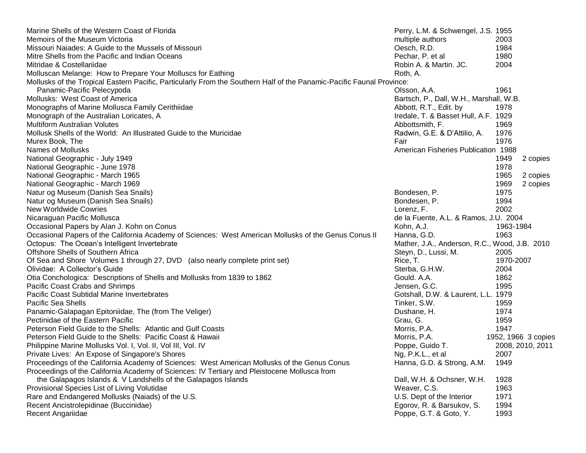| Marine Shells of the Western Coast of Florida                                                                         | Perry, L.M. & Schwengel, J.S. 1955            |           |                     |
|-----------------------------------------------------------------------------------------------------------------------|-----------------------------------------------|-----------|---------------------|
| Memoirs of the Museum Victoria                                                                                        | multiple authors                              | 2003      |                     |
| Missouri Naiades: A Guide to the Mussels of Missouri                                                                  | Oesch, R.D.                                   | 1984      |                     |
| Mitre Shells from the Pacific and Indian Oceans                                                                       | Pechar, P. et al                              | 1980      |                     |
| Mitridae & Costellariidae                                                                                             | Robin A. & Martin. JC.                        | 2004      |                     |
| Molluscan Melange: How to Prepare Your Molluscs for Eathing                                                           | Roth, A.                                      |           |                     |
| Mollusks of the Tropical Eastern Pacific, Particularly From the Southern Half of the Panamic-Pacific Faunal Province: |                                               |           |                     |
| Panamic-Pacific Pelecypoda                                                                                            | Olsson, A.A.                                  | 1961      |                     |
| Mollusks: West Coast of America                                                                                       | Bartsch, P., Dall, W.H., Marshall, W.B.       |           |                     |
| Monographs of Marine Mollusca Family Cerithiidae                                                                      | Abbott, R.T., Edit. by                        | 1978      |                     |
| Monograph of the Australian Loricates, A                                                                              | Iredale, T. & Basset Hull, A.F. 1929          |           |                     |
| <b>Multiform Australian Volutes</b>                                                                                   | Abbottsmith, F.                               | 1969      |                     |
| Mollusk Shells of the World: An Illustrated Guide to the Muricidae                                                    | Radwin, G.E. & D'Attilio, A.                  | 1976      |                     |
| Murex Book, The                                                                                                       | Fair                                          | 1976      |                     |
| Names of Mollusks                                                                                                     | American Fisheries Publication 1988           |           |                     |
| National Geographic - July 1949                                                                                       |                                               | 1949      | 2 copies            |
| National Geographic - June 1978                                                                                       |                                               | 1978      |                     |
| National Geographic - March 1965                                                                                      |                                               | 1965      | 2 copies            |
| National Geographic - March 1969                                                                                      |                                               | 1969      | 2 copies            |
| Natur og Museum (Danish Sea Snails)                                                                                   | Bondesen, P.                                  | 1975      |                     |
| Natur og Museum (Danish Sea Snails)                                                                                   | Bondesen, P.                                  | 1994      |                     |
| <b>New Worldwide Cowries</b>                                                                                          | Lorenz, F.                                    | 2002      |                     |
| Nicaraguan Pacific Mollusca                                                                                           | de la Fuente, A.L. & Ramos, J.U. 2004         |           |                     |
| Occasional Papers by Alan J. Kohn on Conus                                                                            | Kohn, A.J.                                    | 1963-1984 |                     |
| Occasional Papers of the California Academy of Sciences: West American Mollusks of the Genus Conus II                 | Hanna, G.D.                                   | 1963      |                     |
| Octopus: The Ocean's Intelligent Invertebrate                                                                         | Mather, J.A., Anderson, R.C., Wood, J.B. 2010 |           |                     |
| Offshore Shells of Southern Africa                                                                                    | Steyn, D., Lussi, M.                          | 2005      |                     |
| Of Sea and Shore Volumes 1 through 27, DVD (also nearly complete print set)                                           | Rice, T.                                      | 1970-2007 |                     |
| Olividae: A Collector's Guide                                                                                         | Sterba, G.H.W.                                | 2004      |                     |
| Otia Conchologica: Descriptions of Shells and Mollusks from 1839 to 1862                                              | Gould. A.A.                                   | 1862      |                     |
| Pacific Coast Crabs and Shrimps                                                                                       | Jensen, G.C.                                  | 1995      |                     |
| Pacific Coast Subtidal Marine Invertebrates                                                                           | Gotshall, D.W. & Laurent, L.L. 1979           |           |                     |
| <b>Pacific Sea Shells</b>                                                                                             | Tinker, S.W.                                  | 1959      |                     |
| Panamic-Galapagan Epitoniidae, The (from The Veliger)                                                                 | Dushane, H.                                   | 1974      |                     |
| Pectinidae of the Eastern Pacific                                                                                     | Grau, G.                                      | 1959      |                     |
| Peterson Field Guide to the Shells: Atlantic and Gulf Coasts                                                          | Morris, P.A.                                  | 1947      |                     |
| Peterson Field Guide to the Shells: Pacific Coast & Hawaii                                                            | Morris, P.A.                                  |           | 1952, 1966 3 copies |
| Philippine Marine Mollusks Vol. I, Vol. II, Vol III, Vol. IV                                                          | Poppe, Guido T.                               |           | 2008, 2010, 2011    |
| Private Lives: An Expose of Singapore's Shores                                                                        | Ng, P.K.L., et al                             | 2007      |                     |
| Proceedings of the California Academy of Sciences: West American Mollusks of the Genus Conus                          | Hanna, G.D. & Strong, A.M.                    | 1949      |                     |
| Proceedings of the California Academy of Sciences: IV Tertiary and Pleistocene Mollusca from                          |                                               |           |                     |
| the Galapagos Islands & V Landshells of the Galapagos Islands                                                         | Dall, W.H. & Ochsner, W.H.                    | 1928      |                     |
| Provisional Species List of Living Volutidae                                                                          | Weaver, C.S.                                  | 1963      |                     |
| Rare and Endangered Mollusks (Naiads) of the U.S.                                                                     | U.S. Dept of the Interior                     | 1971      |                     |
| Recent Ancistrolepidinae (Buccinidae)                                                                                 | Egorov, R. & Barsukov, S.                     | 1994      |                     |
| Recent Angariidae                                                                                                     | Poppe, G.T. & Goto, Y.                        | 1993      |                     |
|                                                                                                                       |                                               |           |                     |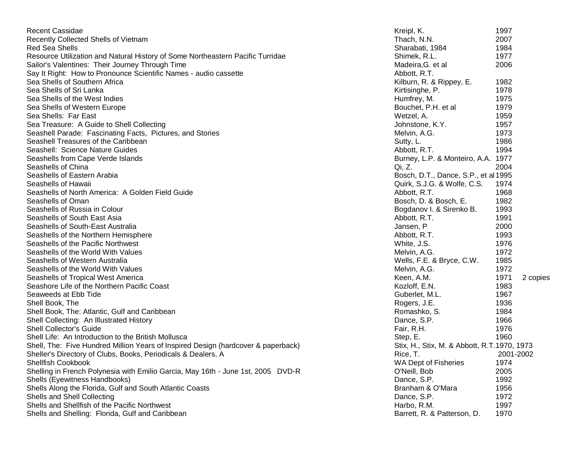| <b>Recent Cassidae</b>                                                            | Kreipl, K.                                  | 1997 |           |
|-----------------------------------------------------------------------------------|---------------------------------------------|------|-----------|
| Recently Collected Shells of Vietnam                                              | Thach, N.N.                                 | 2007 |           |
| Red Sea Shells                                                                    | Sharabati, 1984                             | 1984 |           |
| Resource Utilization and Natural History of Some Northeastern Pacific Turridae    | Shimek, R.L.                                | 1977 |           |
| Sailor's Valentines: Their Journey Through Time                                   | Madeira, G. et al                           | 2006 |           |
| Say It Right: How to Pronounce Scientific Names - audio cassette                  | Abbott, R.T.                                |      |           |
| Sea Shells of Southern Africa                                                     | Kilburn, R. & Rippey, E.                    | 1982 |           |
| Sea Shells of Sri Lanka                                                           | Kirtisinghe, P.                             | 1978 |           |
| Sea Shells of the West Indies                                                     | Humfrey, M.                                 | 1975 |           |
| Sea Shells of Western Europe                                                      | Bouchet, P.H. et al                         | 1979 |           |
| Sea Shells: Far East                                                              | Wetzel, A.                                  | 1959 |           |
| Sea Treasure: A Guide to Shell Collecting                                         | Johnstone, K.Y.                             | 1957 |           |
| Seashell Parade: Fascinating Facts, Pictures, and Stories                         | Melvin, A.G.                                | 1973 |           |
| Seashell Treasures of the Caribbean                                               | Sutty, L.                                   | 1986 |           |
| Seashell: Science Nature Guides                                                   | Abbott, R.T.                                | 1994 |           |
| Seashells from Cape Verde Islands                                                 | Burney, L.P. & Monteiro, A.A. 1977          |      |           |
| Seashells of China                                                                | Qi, Z.                                      | 2004 |           |
| Seashells of Eastern Arabia                                                       | Bosch, D.T., Dance, S.P., et al 1995        |      |           |
| Seashells of Hawaii                                                               | Quirk, S.J.G. & Wolfe, C.S.                 | 1974 |           |
| Seashells of North America: A Golden Field Guide                                  | Abbott, R.T.                                | 1968 |           |
| Seashells of Oman                                                                 | Bosch, D. & Bosch, E.                       | 1982 |           |
| Seashells of Russia in Colour                                                     | Bogdanov I. & Sirenko B.                    | 1993 |           |
| Seashells of South East Asia                                                      | Abbott, R.T.                                | 1991 |           |
| Seashells of South-East Australia                                                 | Jansen, P                                   | 2000 |           |
| Seashells of the Northern Hemisphere                                              | Abbott, R.T.                                | 1993 |           |
| Seashells of the Pacific Northwest                                                | White, J.S.                                 | 1976 |           |
| Seashells of the World With Values                                                | Melvin, A.G.                                | 1972 |           |
| Seashells of Western Australia                                                    | Wells, F.E. & Bryce, C.W.                   | 1985 |           |
| Seashells of the World With Values                                                | Melvin, A.G.                                | 1972 |           |
| Seashells of Tropical West America                                                | Keen, A.M.                                  | 1971 | 2 copies  |
| Seashore Life of the Northern Pacific Coast                                       | Kozloff, E.N.                               | 1983 |           |
| Seaweeds at Ebb Tide                                                              | Guberlet, M.L.                              | 1967 |           |
| Shell Book, The                                                                   | Rogers, J.E.                                | 1936 |           |
| Shell Book, The: Atlantic, Gulf and Caribbean                                     | Romashko, S.                                | 1984 |           |
| Shell Collecting: An Illustrated History                                          | Dance, S.P.                                 | 1966 |           |
| <b>Shell Collector's Guide</b>                                                    | Fair, R.H.                                  | 1976 |           |
| Shell Life: An Introduction to the British Mollusca                               | Step, E.                                    | 1960 |           |
|                                                                                   | Stix, H., Stix, M. & Abbott, R.T.1970, 1973 |      |           |
| Shell, The: Five Hundred Million Years of Inspired Design (hardcover & paperback) |                                             |      |           |
| Sheller's Directory of Clubs, Books, Periodicals & Dealers, A                     | Rice, T.                                    |      | 2001-2002 |
| Shellfish Cookbook                                                                | <b>WA Dept of Fisheries</b>                 | 1974 |           |
| Shelling in French Polynesia with Emilio Garcia, May 16th - June 1st, 2005 DVD-R  | O'Neill, Bob                                | 2005 |           |
| Shells (Eyewitness Handbooks)                                                     | Dance, S.P.                                 | 1992 |           |
| Shells Along the Florida, Gulf and South Atlantic Coasts                          | Branham & O'Mara                            | 1956 |           |
| Shells and Shell Collecting                                                       | Dance, S.P.                                 | 1972 |           |
| Shells and Shellfish of the Pacific Northwest                                     | Harbo, R.M.                                 | 1997 |           |
| Shells and Shelling: Florida, Gulf and Caribbean                                  | Barrett, R. & Patterson, D.                 | 1970 |           |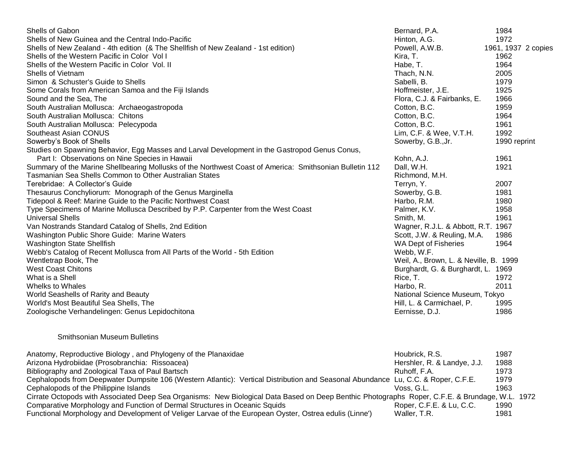| Shells of Gabon                                                                                                                                | Bernard, P.A.                          | 1984                |
|------------------------------------------------------------------------------------------------------------------------------------------------|----------------------------------------|---------------------|
| Shells of New Guinea and the Central Indo-Pacific                                                                                              | Hinton, A.G.                           | 1972                |
| Shells of New Zealand - 4th edition (& The Shellfish of New Zealand - 1st edition)                                                             | Powell, A.W.B.                         | 1961, 1937 2 copies |
| Shells of the Western Pacific in Color Vol I                                                                                                   | Kira, T.                               | 1962                |
| Shells of the Western Pacific in Color Vol. II                                                                                                 | Habe, T.                               | 1964                |
| Shells of Vietnam                                                                                                                              | Thach, N.N.                            | 2005                |
| Simon & Schuster's Guide to Shells                                                                                                             | Sabelli, B.                            | 1979                |
| Some Corals from American Samoa and the Fiji Islands                                                                                           | Hoffmeister, J.E.                      | 1925                |
| Sound and the Sea, The                                                                                                                         | Flora, C.J. & Fairbanks, E.            | 1966                |
| South Australian Mollusca: Archaeogastropoda                                                                                                   | Cotton, B.C.                           | 1959                |
| South Australian Mollusca: Chitons                                                                                                             | Cotton, B.C.                           | 1964                |
| South Australian Mollusca: Pelecypoda                                                                                                          | Cotton, B.C.                           | 1961                |
| Southeast Asian CONUS                                                                                                                          | Lim, C.F. & Wee, V.T.H.                | 1992                |
| Sowerby's Book of Shells                                                                                                                       | Sowerby, G.B., Jr.                     | 1990 reprint        |
| Studies on Spawning Behavior, Egg Masses and Larval Development in the Gastropod Genus Conus,                                                  |                                        |                     |
| Part I: Observations on Nine Species in Hawaii                                                                                                 | Kohn, A.J.                             | 1961                |
| Summary of the Marine Shellbearing Mollusks of the Northwest Coast of America: Smithsonian Bulletin 112                                        | Dall, W.H.                             | 1921                |
| Tasmanian Sea Shells Common to Other Australian States                                                                                         | Richmond, M.H.                         |                     |
| Terebridae: A Collector's Guide                                                                                                                | Terryn, Y.                             | 2007                |
| Thesaurus Conchyliorum: Monograph of the Genus Marginella                                                                                      | Sowerby, G.B.                          | 1981                |
| Tidepool & Reef: Marine Guide to the Pacific Northwest Coast                                                                                   | Harbo, R.M.                            | 1980                |
| Type Specimens of Marine Mollusca Described by P.P. Carpenter from the West Coast                                                              | Palmer, K.V.                           | 1958                |
| Universal Shells                                                                                                                               | Smith, M.                              | 1961                |
| Van Nostrands Standard Catalog of Shells, 2nd Edition                                                                                          | Wagner, R.J.L. & Abbott, R.T. 1967     |                     |
| Washington Public Shore Guide: Marine Waters                                                                                                   | Scott, J.W. & Reuling, M.A.            | 1986                |
| Washington State Shellfish                                                                                                                     | <b>WA Dept of Fisheries</b>            | 1964                |
| Webb's Catalog of Recent Mollusca from All Parts of the World - 5th Edition                                                                    | Webb, W.F.                             |                     |
| Wentletrap Book, The                                                                                                                           | Weil, A., Brown, L. & Neville, B. 1999 |                     |
| <b>West Coast Chitons</b>                                                                                                                      | Burghardt, G. & Burghardt, L. 1969     |                     |
| What is a Shell                                                                                                                                | Rice, T.                               | 1972                |
| Whelks to Whales                                                                                                                               | Harbo, R.                              | 2011                |
|                                                                                                                                                | National Science Museum, Tokyo         |                     |
| World Seashells of Rarity and Beauty<br>World's Most Beautiful Sea Shells, The                                                                 |                                        |                     |
|                                                                                                                                                | Hill, L. & Carmichael, P.              | 1995                |
| Zoologische Verhandelingen: Genus Lepidochitona                                                                                                | Eernisse, D.J.                         | 1986                |
|                                                                                                                                                |                                        |                     |
| <b>Smithsonian Museum Bulletins</b>                                                                                                            |                                        |                     |
|                                                                                                                                                |                                        |                     |
| Anatomy, Reproductive Biology, and Phylogeny of the Planaxidae                                                                                 | Houbrick, R.S.                         | 1987                |
| Arizona Hydrobiidae (Prosobranchia: Rissoacea)                                                                                                 | Hershler, R. & Landye, J.J.            | 1988                |
| Bibliography and Zoological Taxa of Paul Bartsch                                                                                               | Ruhoff, F.A.                           | 1973                |
| Cephalopods from Deepwater Dumpsite 106 (Western Atlantic): Vertical Distribution and Seasonal Abundance Lu, C.C. & Roper, C.F.E.              |                                        | 1979                |
| Cephalopods of the Philippine Islands                                                                                                          | Voss, G.L.                             | 1963                |
| Cirrate Octopods with Associated Deep Sea Organisms: New Biological Data Based on Deep Benthic Photographs Roper, C.F.E. & Brundage, W.L. 1972 |                                        |                     |
| Comparative Morphology and Function of Dermal Structures in Oceanic Squids                                                                     | Roper, C.F.E. & Lu, C.C.               | 1990                |

Functional Morphology and Development of Veliger Larvae of the European Oyster, Ostrea edulis (Linne') Waller, T.R. 1981